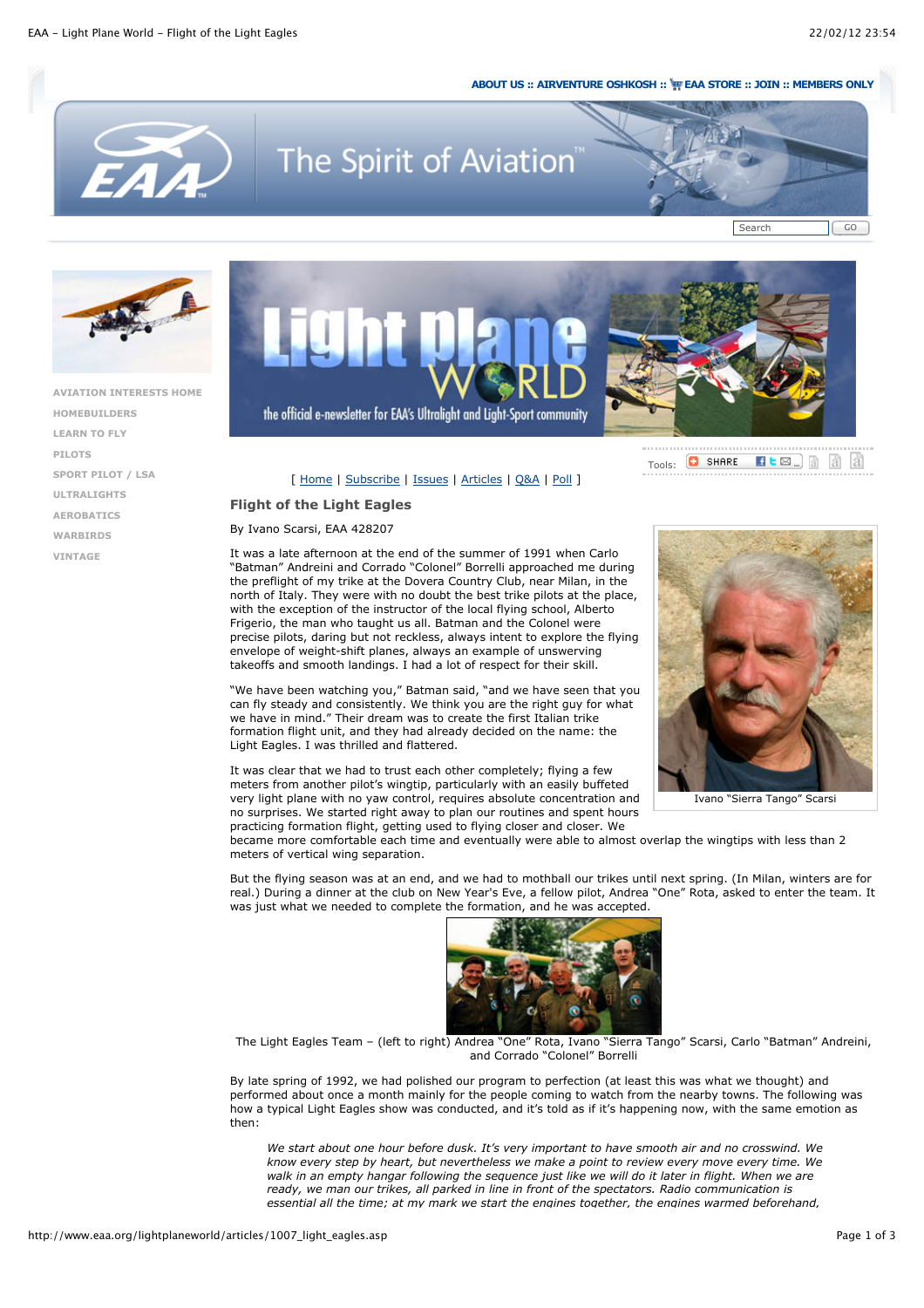## **ABOUT US :: AIRVENTURE OSHKOSH :: EAA STORE :: JOIN :: MEMBERS ONLY**

Tools:

**D** SHARE



## The Spirit of Aviation





**AVIATION INTERESTS HOME HOMEBUILDERS LEARN TO FLY PILOTS SPORT PILOT / LSA ULTRALIGHTS AEROBATICS WARBIRDS VINTAGE**



the official e-newsletter for EAA's Ultralight and Light-Sport community



## **Flight of the Light Eagles**

By Ivano Scarsi, EAA 428207

It was a late afternoon at the end of the summer of 1991 when Carlo "Batman" Andreini and Corrado "Colonel" Borrelli approached me during the preflight of my trike at the Dovera Country Club, near Milan, in the north of Italy. They were with no doubt the best trike pilots at the place, with the exception of the instructor of the local flying school, Alberto Frigerio, the man who taught us all. Batman and the Colonel were precise pilots, daring but not reckless, always intent to explore the flying envelope of weight-shift planes, always an example of unswerving takeoffs and smooth landings. I had a lot of respect for their skill.

"We have been watching you," Batman said, "and we have seen that you can fly steady and consistently. We think you are the right guy for what we have in mind." Their dream was to create the first Italian trike formation flight unit, and they had already decided on the name: the Light Eagles. I was thrilled and flattered.

It was clear that we had to trust each other completely; flying a few meters from another pilot's wingtip, particularly with an easily buffeted very light plane with no yaw control, requires absolute concentration and no surprises. We started right away to plan our routines and spent hours practicing formation flight, getting used to flying closer and closer. We



 $\mathbf{H}$   $\mathbf{E}$   $\mathbf{E}$   $\mathbf{E}$   $\mathbf{H}$   $\mathbf{H}$   $\mathbf{H}$   $\mathbf{H}$   $\mathbf{H}$ 

Ivano "Sierra Tango" Scarsi

became more comfortable each time and eventually were able to almost overlap the wingtips with less than 2 meters of vertical wing separation.

But the flying season was at an end, and we had to mothball our trikes until next spring. (In Milan, winters are for real.) During a dinner at the club on New Year's Eve, a fellow pilot, Andrea "One" Rota, asked to enter the team. It was just what we needed to complete the formation, and he was accepted.



The Light Eagles Team – (left to right) Andrea "One" Rota, Ivano "Sierra Tango" Scarsi, Carlo "Batman" Andreini, and Corrado "Colonel" Borrelli

By late spring of 1992, we had polished our program to perfection (at least this was what we thought) and performed about once a month mainly for the people coming to watch from the nearby towns. The following was how a typical Light Eagles show was conducted, and it's told as if it's happening now, with the same emotion as then:

*We start about one hour before dusk. It's very important to have smooth air and no crosswind. We know every step by heart, but nevertheless we make a point to review every move every time. We walk in an empty hangar following the sequence just like we will do it later in flight. When we are ready, we man our trikes, all parked in line in front of the spectators. Radio communication is essential all the time; at my mark we start the engines together, the engines warmed beforehand,*